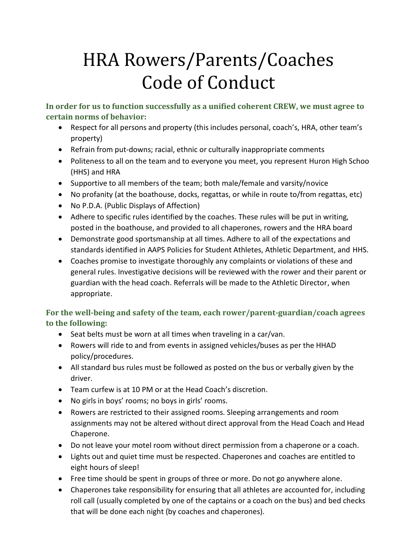# HRA Rowers/Parents/Coaches Code of Conduct

**In order for us to function successfully as a unified coherent CREW, we must agree to certain norms of behavior:**

- Respect for all persons and property (this includes personal, coach's, HRA, other team's property)
- Refrain from put-downs; racial, ethnic or culturally inappropriate comments
- Politeness to all on the team and to everyone you meet, you represent Huron High Schoo (HHS) and HRA
- Supportive to all members of the team; both male/female and varsity/novice
- No profanity (at the boathouse, docks, regattas, or while in route to/from regattas, etc)
- No P.D.A. (Public Displays of Affection)
- Adhere to specific rules identified by the coaches. These rules will be put in writing, posted in the boathouse, and provided to all chaperones, rowers and the HRA board
- Demonstrate good sportsmanship at all times. Adhere to all of the expectations and standards identified in AAPS Policies for Student Athletes, Athletic Department, and HHS.
- Coaches promise to investigate thoroughly any complaints or violations of these and general rules. Investigative decisions will be reviewed with the rower and their parent or guardian with the head coach. Referrals will be made to the Athletic Director, when appropriate.

# **For the well-being and safety of the team, each rower/parent-guardian/coach agrees to the following:**

- Seat belts must be worn at all times when traveling in a car/van.
- Rowers will ride to and from events in assigned vehicles/buses as per the HHAD policy/procedures.
- All standard bus rules must be followed as posted on the bus or verbally given by the driver.
- Team curfew is at 10 PM or at the Head Coach's discretion.
- No girls in boys' rooms; no boys in girls' rooms.
- Rowers are restricted to their assigned rooms. Sleeping arrangements and room assignments may not be altered without direct approval from the Head Coach and Head Chaperone.
- Do not leave your motel room without direct permission from a chaperone or a coach.
- Lights out and quiet time must be respected. Chaperones and coaches are entitled to eight hours of sleep!
- Free time should be spent in groups of three or more. Do not go anywhere alone.
- Chaperones take responsibility for ensuring that all athletes are accounted for, including roll call (usually completed by one of the captains or a coach on the bus) and bed checks that will be done each night (by coaches and chaperones).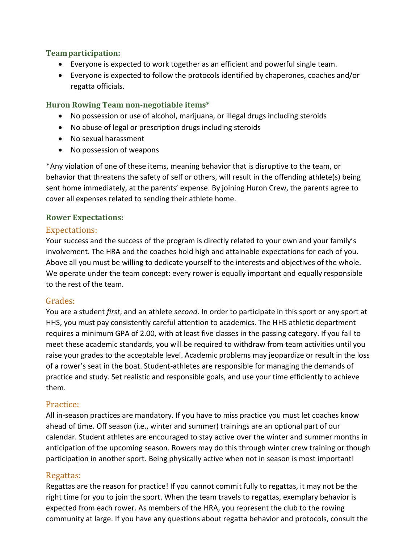#### **Teamparticipation:**

- Everyone is expected to work together as an efficient and powerful single team.
- Everyone is expected to follow the protocols identified by chaperones, coaches and/or regatta officials.

#### **Huron Rowing Team non-negotiable items\***

- No possession or use of alcohol, marijuana, or illegal drugs including steroids
- No abuse of legal or prescription drugs including steroids
- No sexual harassment
- No possession of weapons

\*Any violation of one of these items, meaning behavior that is disruptive to the team, or behavior that threatens the safety of self or others, will result in the offending athlete(s) being sent home immediately, at the parents' expense. By joining Huron Crew, the parents agree to cover all expenses related to sending their athlete home.

#### **Rower Expectations:**

## Expectations:

Your success and the success of the program is directly related to your own and your family's involvement. The HRA and the coaches hold high and attainable expectations for each of you. Above all you must be willing to dedicate yourself to the interests and objectives of the whole. We operate under the team concept: every rower is equally important and equally responsible to the rest of the team.

## Grades:

You are a student *first*, and an athlete *second*. In order to participate in this sport or any sport at HHS, you must pay consistently careful attention to academics. The HHS athletic department requires a minimum GPA of 2.00, with at least five classes in the passing category. If you fail to meet these academic standards, you will be required to withdraw from team activities until you raise your grades to the acceptable level. Academic problems may jeopardize or result in the loss of a rower's seat in the boat. Student-athletes are responsible for managing the demands of practice and study. Set realistic and responsible goals, and use your time efficiently to achieve them.

## Practice:

All in-season practices are mandatory. If you have to miss practice you must let coaches know ahead of time. Off season (i.e., winter and summer) trainings are an optional part of our calendar. Student athletes are encouraged to stay active over the winter and summer months in anticipation of the upcoming season. Rowers may do this through winter crew training or though participation in another sport. Being physically active when not in season is most important!

## Regattas:

Regattas are the reason for practice! If you cannot commit fully to regattas, it may not be the right time for you to join the sport. When the team travels to regattas, exemplary behavior is expected from each rower. As members of the HRA, you represent the club to the rowing community at large. If you have any questions about regatta behavior and protocols, consult the